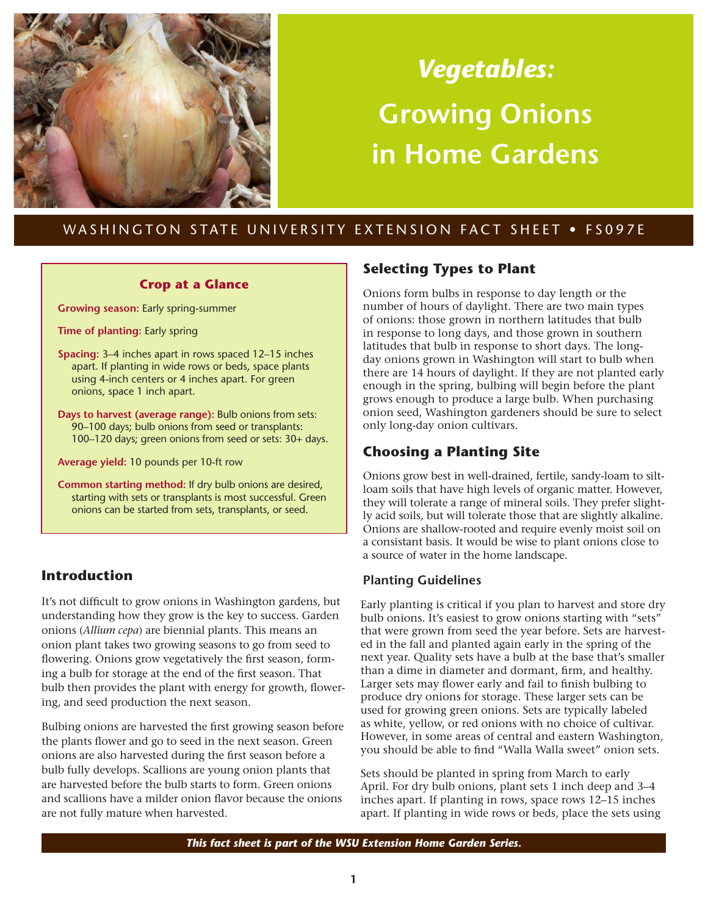

# *Vegetables:* **Growing Onions in Home Gardens**

## WASHINGTON STATE UNIVERSITY EXTENSION FACT SHEET . FS097E

#### **Crop at a Glance**

**Growing season:** Early spring-summer

**Time of planting:** Early spring

- **Spacing:** 3–4 inches apart in rows spaced 12–15 inches apart. If planting in wide rows or beds, space plants using 4-inch centers or 4 inches apart. For green onions, space 1 inch apart.
- **Days to harvest (average range):** Bulb onions from sets: 90–100 days; bulb onions from seed or transplants: 100–120 days; green onions from seed or sets: 30+ days.

**Average yield:** 10 pounds per 10-ft row

**Common starting method:** If dry bulb onions are desired, starting with sets or transplants is most successful. Green onions can be started from sets, transplants, or seed.

## **Introduction**

It's not difficult to grow onions in Washington gardens, but understanding how they grow is the key to success. Garden onions (*Allium cepa*) are biennial plants. This means an onion plant takes two growing seasons to go from seed to flowering. Onions grow vegetatively the first season, forming a bulb for storage at the end of the first season. That bulb then provides the plant with energy for growth, flowering, and seed production the next season.

Bulbing onions are harvested the first growing season before the plants flower and go to seed in the next season. Green onions are also harvested during the first season before a bulb fully develops. Scallions are young onion plants that are harvested before the bulb starts to form. Green onions and scallions have a milder onion flavor because the onions are not fully mature when harvested.

## **Selecting Types to Plant**

Onions form bulbs in response to day length or the number of hours of daylight. There are two main types of onions: those grown in northern latitudes that bulb in response to long days, and those grown in southern latitudes that bulb in response to short days. The longday onions grown in Washington will start to bulb when there are 14 hours of daylight. If they are not planted early enough in the spring, bulbing will begin before the plant grows enough to produce a large bulb. When purchasing onion seed, Washington gardeners should be sure to select only long-day onion cultivars.

## **Choosing a Planting Site**

Onions grow best in well-drained, fertile, sandy-loam to siltloam soils that have high levels of organic matter. However, they will tolerate a range of mineral soils. They prefer slightly acid soils, but will tolerate those that are slightly alkaline. Onions are shallow-rooted and require evenly moist soil on a consistant basis. It would be wise to plant onions close to a source of water in the home landscape.

## **Planting Guidelines**

Early planting is critical if you plan to harvest and store dry bulb onions. It's easiest to grow onions starting with "sets" that were grown from seed the year before. Sets are harvested in the fall and planted again early in the spring of the next year. Quality sets have a bulb at the base that's smaller than a dime in diameter and dormant, firm, and healthy. Larger sets may flower early and fail to finish bulbing to produce dry onions for storage. These larger sets can be used for growing green onions. Sets are typically labeled as white, yellow, or red onions with no choice of cultivar. However, in some areas of central and eastern Washington, you should be able to find "Walla Walla sweet" onion sets.

Sets should be planted in spring from March to early April. For dry bulb onions, plant sets 1 inch deep and 3–4 inches apart. If planting in rows, space rows 12–15 inches apart. If planting in wide rows or beds, place the sets using

*This fact sheet is part of the WSU Extension Home Garden Series.*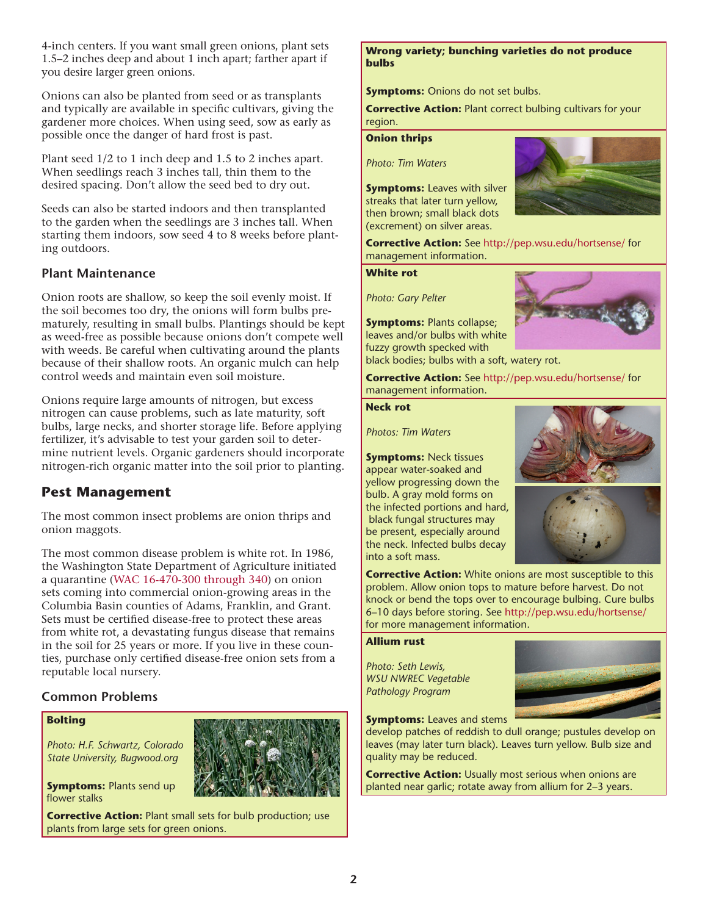4-inch centers. If you want small green onions, plant sets 1.5–2 inches deep and about 1 inch apart; farther apart if you desire larger green onions.

Onions can also be planted from seed or as transplants and typically are available in specific cultivars, giving the gardener more choices. When using seed, sow as early as possible once the danger of hard frost is past.

Plant seed 1/2 to 1 inch deep and 1.5 to 2 inches apart. When seedlings reach 3 inches tall, thin them to the desired spacing. Don't allow the seed bed to dry out.

Seeds can also be started indoors and then transplanted to the garden when the seedlings are 3 inches tall. When starting them indoors, sow seed 4 to 8 weeks before planting outdoors.

### **Plant Maintenance**

Onion roots are shallow, so keep the soil evenly moist. If the soil becomes too dry, the onions will form bulbs prematurely, resulting in small bulbs. Plantings should be kept as weed-free as possible because onions don't compete well with weeds. Be careful when cultivating around the plants because of their shallow roots. An organic mulch can help control weeds and maintain even soil moisture.

Onions require large amounts of nitrogen, but excess nitrogen can cause problems, such as late maturity, soft bulbs, large necks, and shorter storage life. Before applying fertilizer, it's advisable to test your garden soil to determine nutrient levels. Organic gardeners should incorporate nitrogen-rich organic matter into the soil prior to planting.

## **Pest Management**

The most common insect problems are onion thrips and onion maggots.

The most common disease problem is white rot. In 1986, the Washington State Department of Agriculture initiated a quarantine [\(WAC 16-470-300 through 340\)](http://apps.leg.wa.gov/WAC/default.aspx?cite=16-470) on onion sets coming into commercial onion-growing areas in the Columbia Basin counties of Adams, Franklin, and Grant. Sets must be certified disease-free to protect these areas from white rot, a devastating fungus disease that remains in the soil for 25 years or more. If you live in these counties, purchase only certified disease-free onion sets from a reputable local nursery.

## **Common Problems**

#### **Bolting**

*Photo: H.F. Schwartz, Colorado State University, Bugwood.org*

**Symptoms: Plants send up** flower stalks



#### **Wrong variety; bunching varieties do not produce bulbs**

**Symptoms:** Onions do not set bulbs.

**Corrective Action: Plant correct bulbing cultivars for your** region.

#### **Onion thrips**

*Photo: Tim Waters*

**Symptoms: Leaves with silver** streaks that later turn yellow, then brown; small black dots (excrement) on silver areas.



**Corrective Action:** See<http://pep.wsu.edu/hortsense/>for management information.

#### **White rot**

*Photo: Gary Pelter*

**Symptoms: Plants collapse;** leaves and/or bulbs with white fuzzy growth specked with black bodies; bulbs with a soft, watery rot.

**Corrective Action:** See<http://pep.wsu.edu/hortsense/>for management information.

#### **Neck rot**

*Photos: Tim Waters*

**Symptoms:** Neck tissues appear water-soaked and yellow progressing down the bulb. A gray mold forms on the infected portions and hard, black fungal structures may be present, especially around the neck. Infected bulbs decay into a soft mass.

**Corrective Action:** White onions are most susceptible to this problem. Allow onion tops to mature before harvest. Do not knock or bend the tops over to encourage bulbing. Cure bulbs 6–10 days before storing. See http://pep.wsu.edu/hortsense/ for more management information.

#### **Allium rust**

*Photo: Seth Lewis, WSU NWREC Vegetable Pathology Program*



**Symptoms:** Leaves and stems

develop patches of reddish to dull orange; pustules develop on leaves (may later turn black). Leaves turn yellow. Bulb size and quality may be reduced.

**Corrective Action:** Usually most serious when onions are planted near garlic; rotate away from allium for 2–3 years.